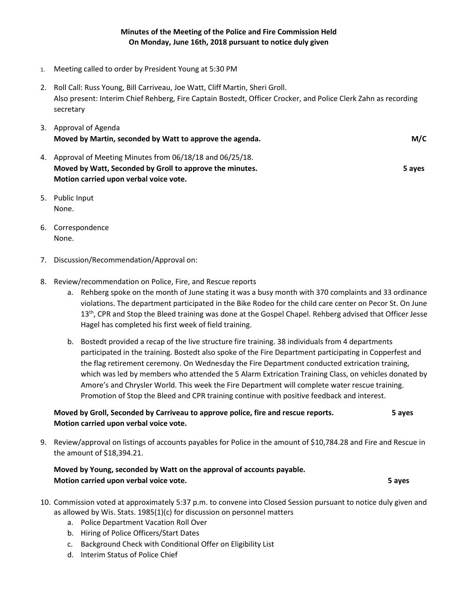- 1. Meeting called to order by President Young at 5:30 PM
- 2. Roll Call: Russ Young, Bill Carriveau, Joe Watt, Cliff Martin, Sheri Groll. Also present: Interim Chief Rehberg, Fire Captain Bostedt, Officer Crocker, and Police Clerk Zahn as recording secretary

| 3. Approval of Agenda                                      |        |
|------------------------------------------------------------|--------|
| Moved by Martin, seconded by Watt to approve the agenda.   | M/C    |
| 4. Approval of Meeting Minutes from 06/18/18 and 06/25/18. |        |
| Moved by Watt, Seconded by Groll to approve the minutes.   | 5 aves |
| Motion carried upon verbal voice vote.                     |        |

- 5. Public Input None.
- 6. Correspondence None.
- 7. Discussion/Recommendation/Approval on:
- 8. Review/recommendation on Police, Fire, and Rescue reports
	- a. Rehberg spoke on the month of June stating it was a busy month with 370 complaints and 33 ordinance violations. The department participated in the Bike Rodeo for the child care center on Pecor St. On June 13<sup>th</sup>, CPR and Stop the Bleed training was done at the Gospel Chapel. Rehberg advised that Officer Jesse Hagel has completed his first week of field training.
	- b. Bostedt provided a recap of the live structure fire training. 38 individuals from 4 departments participated in the training. Bostedt also spoke of the Fire Department participating in Copperfest and the flag retirement ceremony. On Wednesday the Fire Department conducted extrication training, which was led by members who attended the 5 Alarm Extrication Training Class, on vehicles donated by Amore's and Chrysler World. This week the Fire Department will complete water rescue training. Promotion of Stop the Bleed and CPR training continue with positive feedback and interest.

## **Moved by Groll, Seconded by Carriveau to approve police, fire and rescue reports. 5 ayes Motion carried upon verbal voice vote.**

9. Review/approval on listings of accounts payables for Police in the amount of \$10,784.28 and Fire and Rescue in the amount of \$18,394.21.

## **Moved by Young, seconded by Watt on the approval of accounts payable. Motion carried upon verbal voice vote. 5 ayes**

- 10. Commission voted at approximately 5:37 p.m. to convene into Closed Session pursuant to notice duly given and as allowed by Wis. Stats. 1985(1)(c) for discussion on personnel matters
	- a. Police Department Vacation Roll Over
	- b. Hiring of Police Officers/Start Dates
	- c. Background Check with Conditional Offer on Eligibility List
	- d. Interim Status of Police Chief